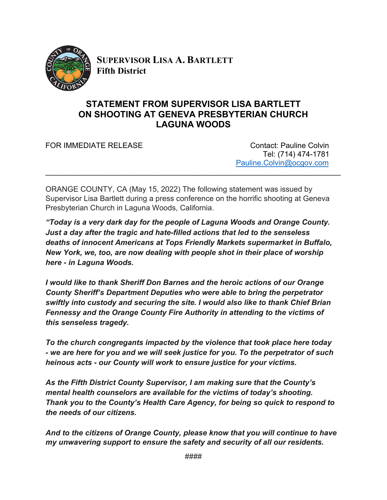

**SUPERVISOR LISA A. BARTLETT Fifth District**

## **STATEMENT FROM SUPERVISOR LISA BARTLETT ON SHOOTING AT GENEVA PRESBYTERIAN CHURCH LAGUNA WOODS**

FOR IMMEDIATE RELEASE CONTACT CONTACT: Pauline Colvin

 Tel: (714) 474-1781 [Pauline.Colvin@ocgov.com](mailto:Pauline.Colvin@ocgov.com)

ORANGE COUNTY, CA (May 15, 2022) The following statement was issued by Supervisor Lisa Bartlett during a press conference on the horrific shooting at Geneva Presbyterian Church in Laguna Woods, California.

\_\_\_\_\_\_\_\_\_\_\_\_\_\_\_\_\_\_\_\_\_\_\_\_\_\_\_\_\_\_\_\_\_\_\_\_\_\_\_\_\_\_\_\_\_\_\_\_\_\_\_\_\_\_\_\_\_\_\_\_\_\_\_\_\_\_\_\_\_\_

*"Today is a very dark day for the people of Laguna Woods and Orange County. Just a day after the tragic and hate-filled actions that led to the senseless deaths of innocent Americans at Tops Friendly Markets supermarket in Buffalo, New York, we, too, are now dealing with people shot in their place of worship here - in Laguna Woods.*

*I would like to thank Sheriff Don Barnes and the heroic actions of our Orange County Sheriff's Department Deputies who were able to bring the perpetrator swiftly into custody and securing the site. I would also like to thank Chief Brian Fennessy and the Orange County Fire Authority in attending to the victims of this senseless tragedy.* 

*To the church congregants impacted by the violence that took place here today - we are here for you and we will seek justice for you. To the perpetrator of such heinous acts - our County will work to ensure justice for your victims.*

*As the Fifth District County Supervisor, I am making sure that the County's mental health counselors are available for the victims of today's shooting. Thank you to the County's Health Care Agency, for being so quick to respond to the needs of our citizens.* 

*And to the citizens of Orange County, please know that you will continue to have my unwavering support to ensure the safety and security of all our residents.*